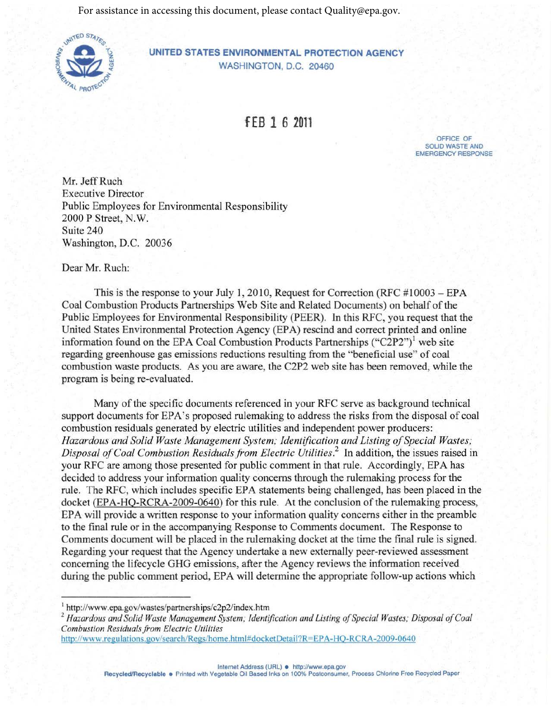For assistance in accessing this document, please contact Quality@epa.gov.



**UNITED STATES ENVIRONMENTAL PROTECTION AGENCY**  WASHINGTON, D.C. 20460

**fEB 1** *6* **<sup>2011</sup>**

OFFICE OF SOLID WASTE AND EMERGENCY RESPONSE

Mr. Jeff Ruch Executive Director Public Employees for Environmental Responsibility 2000 P Street, N. W. Suite 240 Washington, D.C. 20036

Dear Mr. Ruch:

This is the response to your July 1, 2010, Request for Correction (RFC  $\#10003 - EPA$ ) Coal Combustion Products Partnerships Web Site and Related Documents) on behalf of the Public Employees for Environmental Responsibility (PEER). In this RFC, you request that the United States Environmental Protection Agency (EPA) rescind and correct printed and online information found on the EPA Coal Combustion Products Partnerships  $("C2P2")^1$  web site regarding greenhouse gas emissions reductions resulting from the "beneficial use" of coal combustion waste products. As you are aware, the C2P2 web site has been removed, while the program is being re-evaluated.

Many of the specific documents referenced in your RFC serve as background technical support documents for EPA's proposed rulemaking to address the risks from the disposal of coal combustion residuals generated by electric utilities and independent power producers: Hazardous and Solid Waste Management System; Identification and Listing of Special Wastes; *Disposal ofCoal Combustion Residuals from Electric Utilities.2* In addition, the issues raised in your RFC are among those presented for public comment in that rule. Accordingly, EPA has decided to address your information quality concerns through the rulemaking process for the rule. The RFC, which includes specific EPA statements being challenged, has been placed in the docket (EPA-HQ-RCRA-2009-0640) for this rule. At the conclusion of the rulemaking process, EPA will provide a written response to your information quality concerns either in the preamble to the final rule or in the accompanying Response to Comments document. The Response to Comments document will be placed in the rulemaking docket at the time the final rule is signed. Regarding your request that the Agency undertake a new externally peer-reviewed assessment concerning the lifecycle GHG emissions, after the Agency reviews the information received during the public comment period, EPA will determine the appropriate follow-up actions which

Internet Address (URL) · <http://www.epa.gov>

Recycled/Recyclable · Printed with Vegetable Oil Based Inks on 100% Postconsumer, Process Chlorine Free Recycled Paper

<sup>&</sup>lt;sup>1</sup> http://www.epa.gov/wastes/partnerships/c2p2/index.htm<br><sup>2</sup> Hazardous and Solid Waste Management System; Identification and Listing of Special Wastes; Disposal of Coal *Combustion Residuals from Electric Utilities* 

<http://www.regulations.gov/search/Regs/home.html#docketDetail?R=EPA-HO-RCRA-2009-0640>